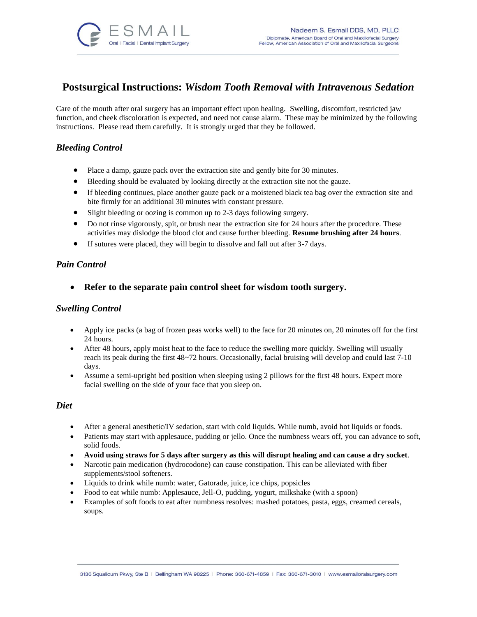

# **Postsurgical Instructions:** *Wisdom Tooth Removal with Intravenous Sedation*

Care of the mouth after oral surgery has an important effect upon healing. Swelling, discomfort, restricted jaw function, and cheek discoloration is expected, and need not cause alarm. These may be minimized by the following instructions. Please read them carefully. It is strongly urged that they be followed.

# *Bleeding Control*

- Place a damp, gauze pack over the extraction site and gently bite for 30 minutes.
- Bleeding should be evaluated by looking directly at the extraction site not the gauze.
- If bleeding continues, place another gauze pack or a moistened black tea bag over the extraction site and bite firmly for an additional 30 minutes with constant pressure.
- Slight bleeding or oozing is common up to 2-3 days following surgery.
- Do not rinse vigorously, spit, or brush near the extraction site for 24 hours after the procedure. These activities may dislodge the blood clot and cause further bleeding. **Resume brushing after 24 hours**.
- If sutures were placed, they will begin to dissolve and fall out after 3-7 days.

#### *Pain Control*

• **Refer to the separate pain control sheet for wisdom tooth surgery.** 

#### *Swelling Control*

- Apply ice packs (a bag of frozen peas works well) to the face for 20 minutes on, 20 minutes off for the first 24 hours.
- After 48 hours, apply moist heat to the face to reduce the swelling more quickly. Swelling will usually reach its peak during the first 48~72 hours. Occasionally, facial bruising will develop and could last 7-10 days.
- Assume a semi-upright bed position when sleeping using 2 pillows for the first 48 hours. Expect more facial swelling on the side of your face that you sleep on.

#### *Diet*

- After a general anesthetic/IV sedation, start with cold liquids. While numb, avoid hot liquids or foods.
- Patients may start with applesauce, pudding or jello. Once the numbness wears off, you can advance to soft, solid foods.
- **Avoid using straws for 5 days after surgery as this will disrupt healing and can cause a dry socket**.
- Narcotic pain medication (hydrocodone) can cause constipation. This can be alleviated with fiber supplements/stool softeners.
- Liquids to drink while numb: water, Gatorade, juice, ice chips, popsicles
- Food to eat while numb: Applesauce, Jell-O, pudding, yogurt, milkshake (with a spoon)
- Examples of soft foods to eat after numbness resolves: mashed potatoes, pasta, eggs, creamed cereals, soups.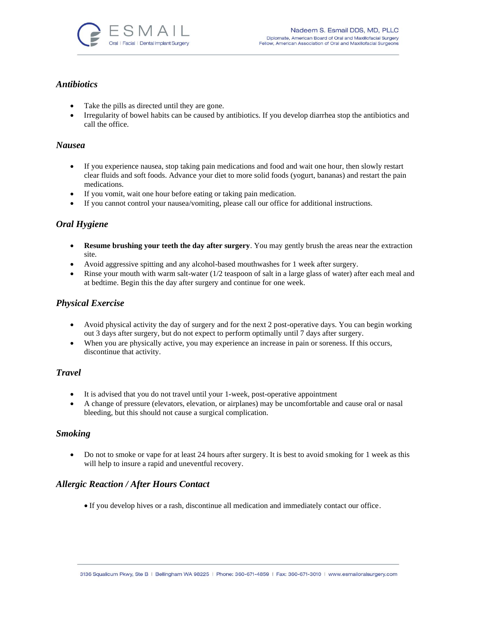

# *Antibiotics*

- Take the pills as directed until they are gone.
- Irregularity of bowel habits can be caused by antibiotics. If you develop diarrhea stop the antibiotics and call the office.

#### *Nausea*

- If you experience nausea, stop taking pain medications and food and wait one hour, then slowly restart clear fluids and soft foods. Advance your diet to more solid foods (yogurt, bananas) and restart the pain medications.
- If you vomit, wait one hour before eating or taking pain medication.
- If you cannot control your nausea/vomiting, please call our office for additional instructions.

# *Oral Hygiene*

- **Resume brushing your teeth the day after surgery**. You may gently brush the areas near the extraction site.
- Avoid aggressive spitting and any alcohol-based mouthwashes for 1 week after surgery.
- Rinse your mouth with warm salt-water (1/2 teaspoon of salt in a large glass of water) after each meal and at bedtime. Begin this the day after surgery and continue for one week.

### *Physical Exercise*

- Avoid physical activity the day of surgery and for the next 2 post-operative days. You can begin working out 3 days after surgery, but do not expect to perform optimally until 7 days after surgery.
- When you are physically active, you may experience an increase in pain or soreness. If this occurs, discontinue that activity.

#### *Travel*

- It is advised that you do not travel until your 1-week, post-operative appointment
- A change of pressure (elevators, elevation, or airplanes) may be uncomfortable and cause oral or nasal bleeding, but this should not cause a surgical complication.

#### *Smoking*

• Do not to smoke or vape for at least 24 hours after surgery. It is best to avoid smoking for 1 week as this will help to insure a rapid and uneventful recovery.

# *Allergic Reaction / After Hours Contact*

• If you develop hives or a rash, discontinue all medication and immediately contact our office.